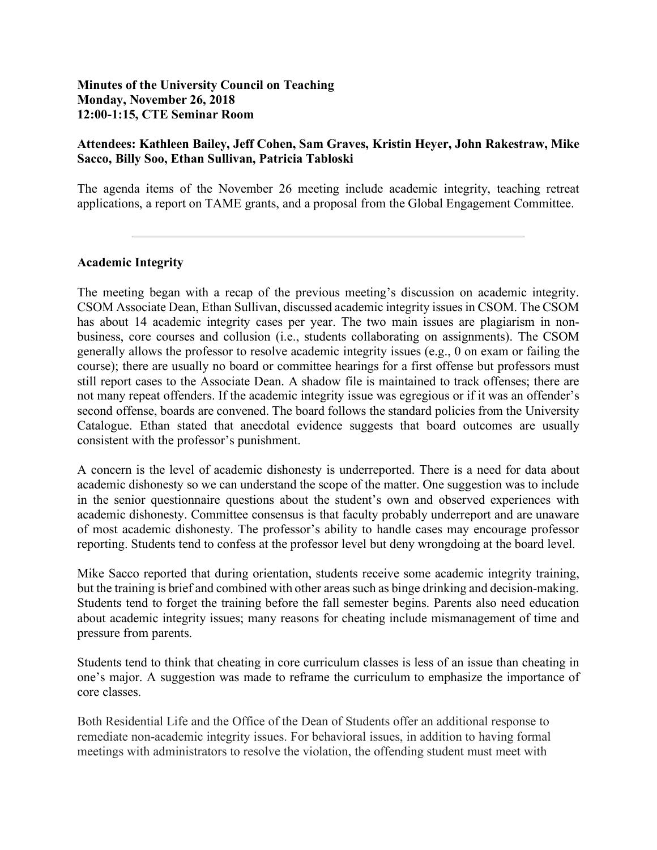### **Minutes of the University Council on Teaching Monday, November 26, 2018 12:00-1:15, CTE Seminar Room**

### **Attendees: Kathleen Bailey, Jeff Cohen, Sam Graves, Kristin Heyer, John Rakestraw, Mike Sacco, Billy Soo, Ethan Sullivan, Patricia Tabloski**

The agenda items of the November 26 meeting include academic integrity, teaching retreat applications, a report on TAME grants, and a proposal from the Global Engagement Committee.

### **Academic Integrity**

The meeting began with a recap of the previous meeting's discussion on academic integrity. CSOM Associate Dean, Ethan Sullivan, discussed academic integrity issues in CSOM. The CSOM has about 14 academic integrity cases per year. The two main issues are plagiarism in nonbusiness, core courses and collusion (i.e., students collaborating on assignments). The CSOM generally allows the professor to resolve academic integrity issues (e.g., 0 on exam or failing the course); there are usually no board or committee hearings for a first offense but professors must still report cases to the Associate Dean. A shadow file is maintained to track offenses; there are not many repeat offenders. If the academic integrity issue was egregious or if it was an offender's second offense, boards are convened. The board follows the standard policies from the University Catalogue. Ethan stated that anecdotal evidence suggests that board outcomes are usually consistent with the professor's punishment.

A concern is the level of academic dishonesty is underreported. There is a need for data about academic dishonesty so we can understand the scope of the matter. One suggestion was to include in the senior questionnaire questions about the student's own and observed experiences with academic dishonesty. Committee consensus is that faculty probably underreport and are unaware of most academic dishonesty. The professor's ability to handle cases may encourage professor reporting. Students tend to confess at the professor level but deny wrongdoing at the board level.

Mike Sacco reported that during orientation, students receive some academic integrity training, but the training is brief and combined with other areas such as binge drinking and decision-making. Students tend to forget the training before the fall semester begins. Parents also need education about academic integrity issues; many reasons for cheating include mismanagement of time and pressure from parents.

Students tend to think that cheating in core curriculum classes is less of an issue than cheating in one's major. A suggestion was made to reframe the curriculum to emphasize the importance of core classes.

Both Residential Life and the Office of the Dean of Students offer an additional response to remediate non-academic integrity issues. For behavioral issues, in addition to having formal meetings with administrators to resolve the violation, the offending student must meet with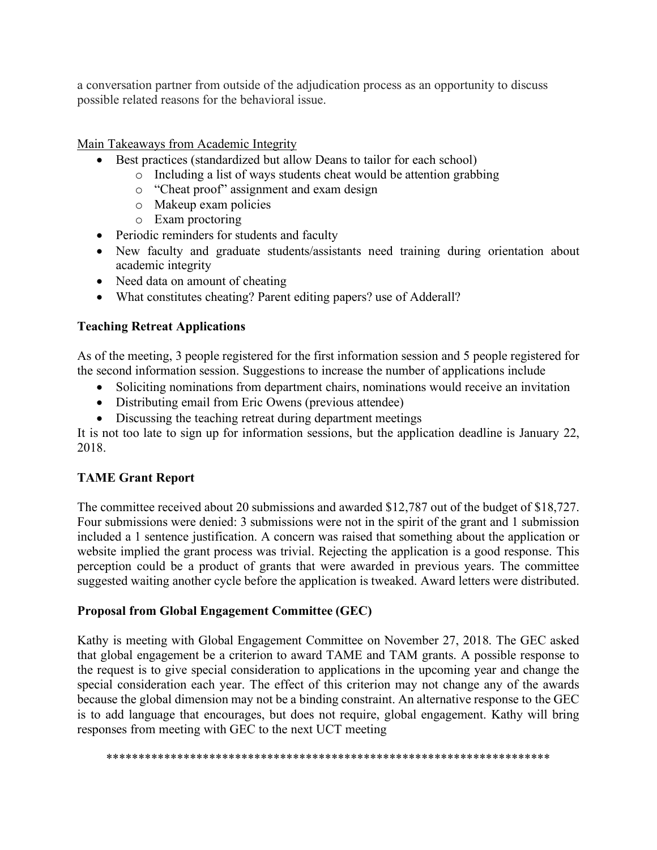a conversation partner from outside of the adjudication process as an opportunity to discuss possible related reasons for the behavioral issue.

Main Takeaways from Academic Integrity

- Best practices (standardized but allow Deans to tailor for each school)
	- o Including a list of ways students cheat would be attention grabbing
		- o "Cheat proof" assignment and exam design
		- o Makeup exam policies
		- o Exam proctoring
- Periodic reminders for students and faculty
- New faculty and graduate students/assistants need training during orientation about academic integrity
- Need data on amount of cheating
- What constitutes cheating? Parent editing papers? use of Adderall?

## **Teaching Retreat Applications**

As of the meeting, 3 people registered for the first information session and 5 people registered for the second information session. Suggestions to increase the number of applications include

- Soliciting nominations from department chairs, nominations would receive an invitation
- Distributing email from Eric Owens (previous attendee)
- Discussing the teaching retreat during department meetings

It is not too late to sign up for information sessions, but the application deadline is January 22, 2018.

# **TAME Grant Report**

The committee received about 20 submissions and awarded \$12,787 out of the budget of \$18,727. Four submissions were denied: 3 submissions were not in the spirit of the grant and 1 submission included a 1 sentence justification. A concern was raised that something about the application or website implied the grant process was trivial. Rejecting the application is a good response. This perception could be a product of grants that were awarded in previous years. The committee suggested waiting another cycle before the application is tweaked. Award letters were distributed.

### **Proposal from Global Engagement Committee (GEC)**

Kathy is meeting with Global Engagement Committee on November 27, 2018. The GEC asked that global engagement be a criterion to award TAME and TAM grants. A possible response to the request is to give special consideration to applications in the upcoming year and change the special consideration each year. The effect of this criterion may not change any of the awards because the global dimension may not be a binding constraint. An alternative response to the GEC is to add language that encourages, but does not require, global engagement. Kathy will bring responses from meeting with GEC to the next UCT meeting

\*\*\*\*\*\*\*\*\*\*\*\*\*\*\*\*\*\*\*\*\*\*\*\*\*\*\*\*\*\*\*\*\*\*\*\*\*\*\*\*\*\*\*\*\*\*\*\*\*\*\*\*\*\*\*\*\*\*\*\*\*\*\*\*\*\*\*\*\*